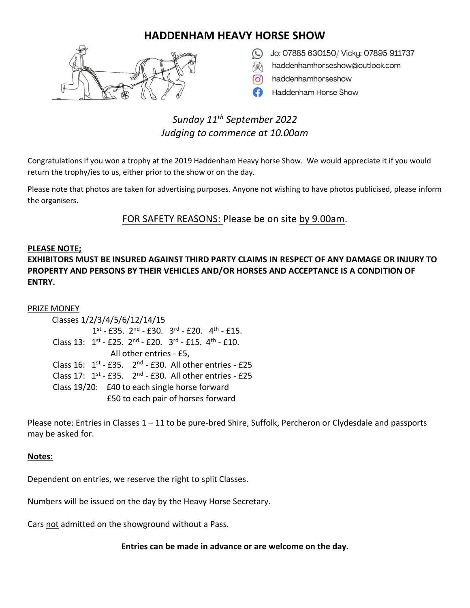### **HADDENHAM HEAVY HORSE SHOW**



- Jo: 07885 630150/ Vicky: 07895 911737
- haddenhamhorseshow@outlook.com
- haddenhamhorseshow
- Haddenham Horse Show

## *Sunday 11th September 2022 Judging to commence at 10.00am*

Congratulations if you won a trophy at the 2019 Haddenham Heavy horse Show. We would appreciate it if you would return the trophy/ies to us, either prior to the show or on the day.

Please note that photos are taken for advertising purposes. Anyone not wishing to have photos publicised, please inform the organisers.

FOR SAFETY REASONS: Please be on site by 9.00am.

#### **PLEASE NOTE;**

**EXHIBITORS MUST BE INSURED AGAINST THIRD PARTY CLAIMS IN RESPECT OF ANY DAMAGE OR INJURY TO PROPERTY AND PERSONS BY THEIR VEHICLES AND/OR HORSES AND ACCEPTANCE IS A CONDITION OF ENTRY.**

#### PRIZE MONEY

 Classes 1/2/3/4/5/6/12/14/15 1  $\text{st}$  - £35.  $2^{\text{nd}}$  - £30.  $3^{\text{rd}}$  - £20.  $4^{\text{th}}$  - £15. Class 13:  $1^{st}$  - £25.  $2^{nd}$  - £20.  $3^{rd}$  - £15.  $4^{th}$  - £10. All other entries - £5, Class  $16: 1^{st}$  - £35.  $2^{nd}$  - £30. All other entries - £25 Class 17:  $1^{st}$  - £35.  $2^{nd}$  - £30. All other entries - £25 Class 19/20: £40 to each single horse forward £50 to each pair of horses forward

Please note: Entries in Classes 1 – 11 to be pure-bred Shire, Suffolk, Percheron or Clydesdale and passports may be asked for.

#### **Notes**:

Dependent on entries, we reserve the right to split Classes.

Numbers will be issued on the day by the Heavy Horse Secretary.

Cars not admitted on the showground without a Pass.

**Entries can be made in advance or are welcome on the day.**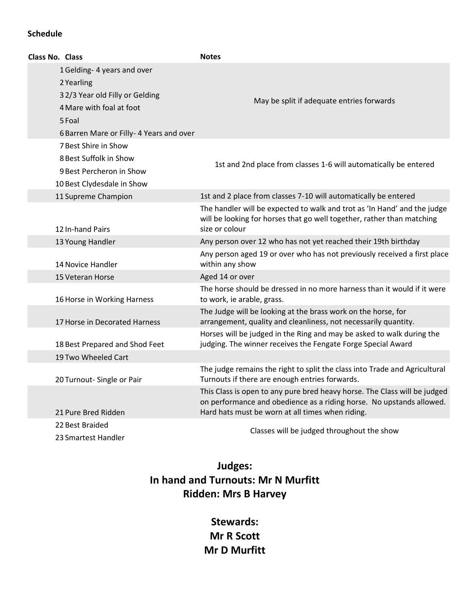#### **Schedule**

| Class No. Class |                                                            | <b>Notes</b>                                                                                                                                                                                          |
|-----------------|------------------------------------------------------------|-------------------------------------------------------------------------------------------------------------------------------------------------------------------------------------------------------|
|                 | 1 Gelding- 4 years and over<br>2 Yearling                  |                                                                                                                                                                                                       |
|                 | 32/3 Year old Filly or Gelding<br>4 Mare with foal at foot | May be split if adequate entries forwards                                                                                                                                                             |
|                 | 5 Foal                                                     |                                                                                                                                                                                                       |
|                 | 6 Barren Mare or Filly- 4 Years and over                   |                                                                                                                                                                                                       |
|                 | 7 Best Shire in Show                                       |                                                                                                                                                                                                       |
|                 | 8 Best Suffolk in Show                                     | 1st and 2nd place from classes 1-6 will automatically be entered                                                                                                                                      |
|                 | 9 Best Percheron in Show                                   |                                                                                                                                                                                                       |
|                 | 10 Best Clydesdale in Show                                 |                                                                                                                                                                                                       |
|                 | 11 Supreme Champion                                        | 1st and 2 place from classes 7-10 will automatically be entered                                                                                                                                       |
|                 | 12 In-hand Pairs                                           | The handler will be expected to walk and trot as 'In Hand' and the judge<br>will be looking for horses that go well together, rather than matching<br>size or colour                                  |
|                 | 13 Young Handler                                           | Any person over 12 who has not yet reached their 19th birthday                                                                                                                                        |
|                 | 14 Novice Handler                                          | Any person aged 19 or over who has not previously received a first place<br>within any show                                                                                                           |
|                 | 15 Veteran Horse                                           | Aged 14 or over                                                                                                                                                                                       |
|                 | 16 Horse in Working Harness                                | The horse should be dressed in no more harness than it would if it were<br>to work, ie arable, grass.                                                                                                 |
|                 | 17 Horse in Decorated Harness                              | The Judge will be looking at the brass work on the horse, for<br>arrangement, quality and cleanliness, not necessarily quantity.                                                                      |
|                 | 18 Best Prepared and Shod Feet                             | Horses will be judged in the Ring and may be asked to walk during the<br>judging. The winner receives the Fengate Forge Special Award                                                                 |
|                 | 19 Two Wheeled Cart                                        |                                                                                                                                                                                                       |
|                 | 20 Turnout- Single or Pair                                 | The judge remains the right to split the class into Trade and Agricultural<br>Turnouts if there are enough entries forwards.                                                                          |
|                 | 21 Pure Bred Ridden                                        | This Class is open to any pure bred heavy horse. The Class will be judged<br>on performance and obedience as a riding horse. No upstands allowed.<br>Hard hats must be worn at all times when riding. |
|                 | 22 Best Braided<br>23 Smartest Handler                     | Classes will be judged throughout the show                                                                                                                                                            |

# **Judges: In hand and Turnouts: Mr N Murfitt Ridden: Mrs B Harvey**

**Stewards: Mr R Scott Mr D Murfitt**